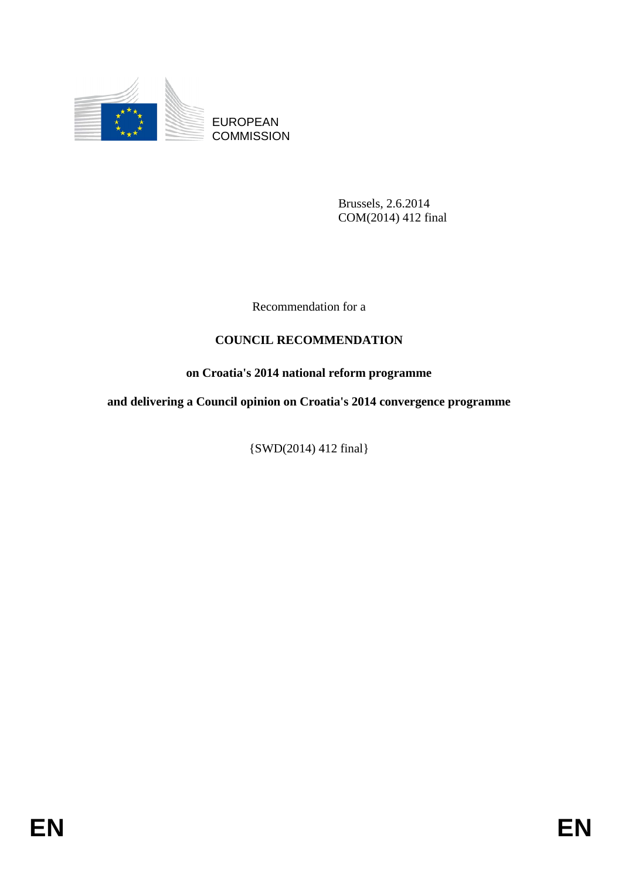

EUROPEAN **COMMISSION** 

> Brussels, 2.6.2014 COM(2014) 412 final

Recommendation for a

# **COUNCIL RECOMMENDATION**

# **on Croatia's 2014 national reform programme**

**and delivering a Council opinion on Croatia's 2014 convergence programme** 

{SWD(2014) 412 final}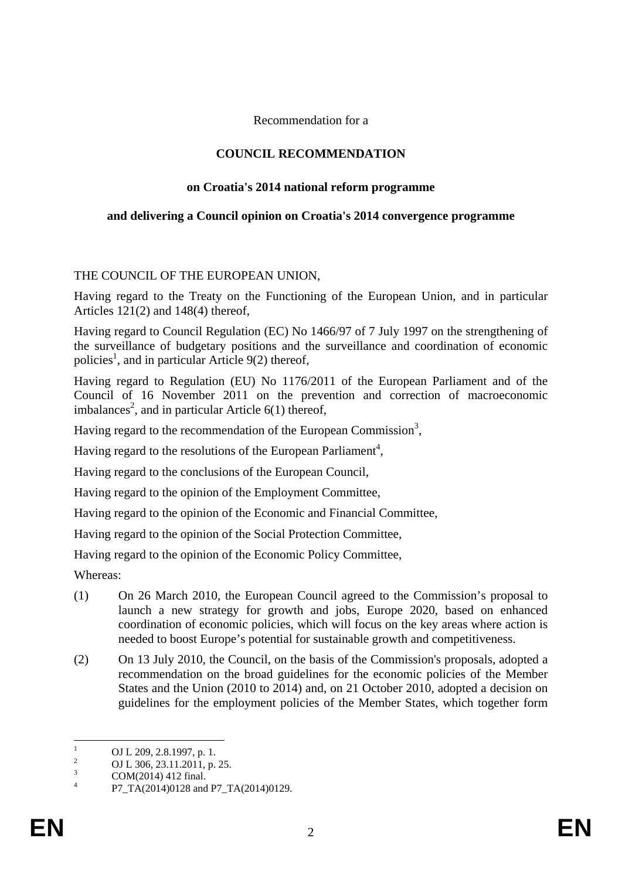Recommendation for a

### **COUNCIL RECOMMENDATION**

### **on Croatia's 2014 national reform programme**

#### **and delivering a Council opinion on Croatia's 2014 convergence programme**

### THE COUNCIL OF THE EUROPEAN UNION,

Having regard to the Treaty on the Functioning of the European Union, and in particular Articles 121(2) and 148(4) thereof,

Having regard to Council Regulation (EC) No 1466/97 of 7 July 1997 on the strengthening of the surveillance of budgetary positions and the surveillance and coordination of economic policies<sup>1</sup>, and in particular Article 9(2) thereof,

Having regard to Regulation (EU) No 1176/2011 of the European Parliament and of the Council of 16 November 2011 on the prevention and correction of macroeconomic imbalances<sup>2</sup>, and in particular Article  $6(1)$  thereof,

Having regard to the recommendation of the European Commission<sup>3</sup>,

Having regard to the resolutions of the European Parliament<sup>4</sup>,

Having regard to the conclusions of the European Council,

Having regard to the opinion of the Employment Committee,

Having regard to the opinion of the Economic and Financial Committee,

Having regard to the opinion of the Social Protection Committee,

Having regard to the opinion of the Economic Policy Committee,

Whereas:

- (1) On 26 March 2010, the European Council agreed to the Commission's proposal to launch a new strategy for growth and jobs, Europe 2020, based on enhanced coordination of economic policies, which will focus on the key areas where action is needed to boost Europe's potential for sustainable growth and competitiveness.
- (2) On 13 July 2010, the Council, on the basis of the Commission's proposals, adopted a recommendation on the broad guidelines for the economic policies of the Member States and the Union (2010 to 2014) and, on 21 October 2010, adopted a decision on guidelines for the employment policies of the Member States, which together form

 $\frac{1}{1}$ OJ L 209, 2.8.1997, p. 1.

<sup>2</sup> OJ L 306, 23.11.2011, p. 25.

<sup>3</sup> COM(2014) 412 final. 4

P7\_TA(2014)0128 and P7\_TA(2014)0129.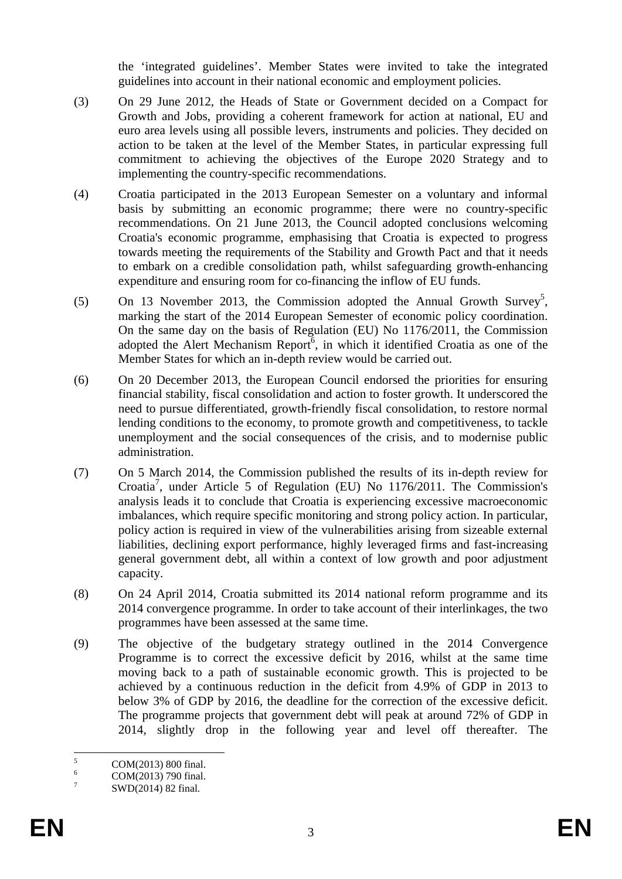the 'integrated guidelines'. Member States were invited to take the integrated guidelines into account in their national economic and employment policies.

- (3) On 29 June 2012, the Heads of State or Government decided on a Compact for Growth and Jobs, providing a coherent framework for action at national, EU and euro area levels using all possible levers, instruments and policies. They decided on action to be taken at the level of the Member States, in particular expressing full commitment to achieving the objectives of the Europe 2020 Strategy and to implementing the country-specific recommendations.
- (4) Croatia participated in the 2013 European Semester on a voluntary and informal basis by submitting an economic programme; there were no country-specific recommendations. On 21 June 2013, the Council adopted conclusions welcoming Croatia's economic programme, emphasising that Croatia is expected to progress towards meeting the requirements of the Stability and Growth Pact and that it needs to embark on a credible consolidation path, whilst safeguarding growth-enhancing expenditure and ensuring room for co-financing the inflow of EU funds.
- (5) On 13 November 2013, the Commission adopted the Annual Growth Survey<sup>5</sup>, marking the start of the 2014 European Semester of economic policy coordination. On the same day on the basis of Regulation (EU) No 1176/2011, the Commission adopted the Alert Mechanism Report<sup>6</sup>, in which it identified Croatia as one of the Member States for which an in-depth review would be carried out.
- (6) On 20 December 2013, the European Council endorsed the priorities for ensuring financial stability, fiscal consolidation and action to foster growth. It underscored the need to pursue differentiated, growth-friendly fiscal consolidation, to restore normal lending conditions to the economy, to promote growth and competitiveness, to tackle unemployment and the social consequences of the crisis, and to modernise public administration.
- (7) On 5 March 2014, the Commission published the results of its in-depth review for Croatia7 , under Article 5 of Regulation (EU) No 1176/2011. The Commission's analysis leads it to conclude that Croatia is experiencing excessive macroeconomic imbalances, which require specific monitoring and strong policy action. In particular, policy action is required in view of the vulnerabilities arising from sizeable external liabilities, declining export performance, highly leveraged firms and fast-increasing general government debt, all within a context of low growth and poor adjustment capacity.
- (8) On 24 April 2014, Croatia submitted its 2014 national reform programme and its 2014 convergence programme. In order to take account of their interlinkages, the two programmes have been assessed at the same time.
- (9) The objective of the budgetary strategy outlined in the 2014 Convergence Programme is to correct the excessive deficit by 2016, whilst at the same time moving back to a path of sustainable economic growth. This is projected to be achieved by a continuous reduction in the deficit from 4.9% of GDP in 2013 to below 3% of GDP by 2016, the deadline for the correction of the excessive deficit. The programme projects that government debt will peak at around 72% of GDP in 2014, slightly drop in the following year and level off thereafter. The

 $\frac{1}{5}$ COM(2013) 800 final.

<sup>6</sup> COM(2013) 790 final.

<sup>7</sup> SWD(2014) 82 final.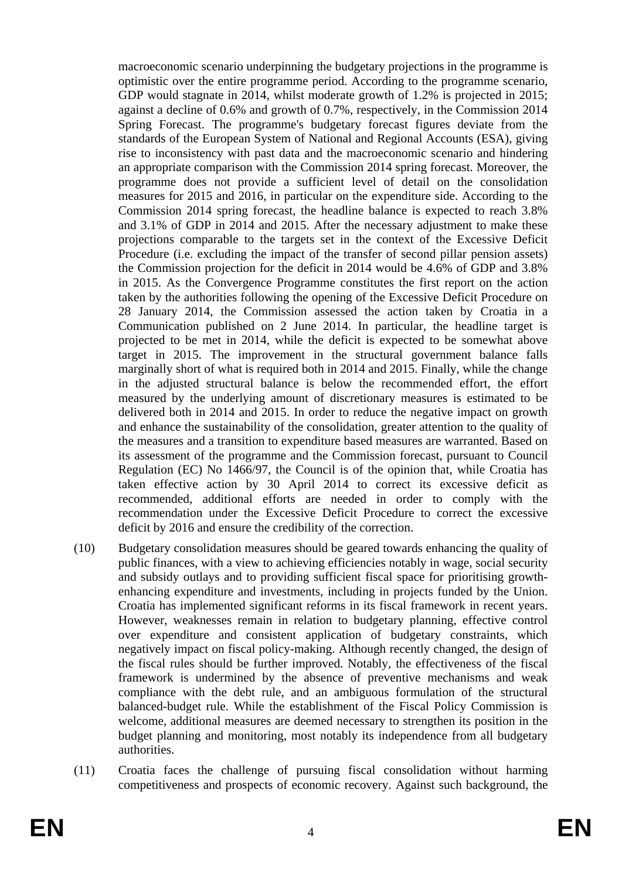macroeconomic scenario underpinning the budgetary projections in the programme is optimistic over the entire programme period. According to the programme scenario, GDP would stagnate in 2014, whilst moderate growth of 1.2% is projected in 2015; against a decline of 0.6% and growth of 0.7%, respectively, in the Commission 2014 Spring Forecast. The programme's budgetary forecast figures deviate from the standards of the European System of National and Regional Accounts (ESA), giving rise to inconsistency with past data and the macroeconomic scenario and hindering an appropriate comparison with the Commission 2014 spring forecast. Moreover, the programme does not provide a sufficient level of detail on the consolidation measures for 2015 and 2016, in particular on the expenditure side. According to the Commission 2014 spring forecast, the headline balance is expected to reach 3.8% and 3.1% of GDP in 2014 and 2015. After the necessary adjustment to make these projections comparable to the targets set in the context of the Excessive Deficit Procedure (i.e. excluding the impact of the transfer of second pillar pension assets) the Commission projection for the deficit in 2014 would be 4.6% of GDP and 3.8% in 2015. As the Convergence Programme constitutes the first report on the action taken by the authorities following the opening of the Excessive Deficit Procedure on 28 January 2014, the Commission assessed the action taken by Croatia in a Communication published on 2 June 2014. In particular, the headline target is projected to be met in 2014, while the deficit is expected to be somewhat above target in 2015. The improvement in the structural government balance falls marginally short of what is required both in 2014 and 2015. Finally, while the change in the adjusted structural balance is below the recommended effort, the effort measured by the underlying amount of discretionary measures is estimated to be delivered both in 2014 and 2015. In order to reduce the negative impact on growth and enhance the sustainability of the consolidation, greater attention to the quality of the measures and a transition to expenditure based measures are warranted. Based on its assessment of the programme and the Commission forecast, pursuant to Council Regulation (EC) No 1466/97, the Council is of the opinion that, while Croatia has taken effective action by 30 April 2014 to correct its excessive deficit as recommended, additional efforts are needed in order to comply with the recommendation under the Excessive Deficit Procedure to correct the excessive deficit by 2016 and ensure the credibility of the correction.

- (10) Budgetary consolidation measures should be geared towards enhancing the quality of public finances, with a view to achieving efficiencies notably in wage, social security and subsidy outlays and to providing sufficient fiscal space for prioritising growthenhancing expenditure and investments, including in projects funded by the Union. Croatia has implemented significant reforms in its fiscal framework in recent years. However, weaknesses remain in relation to budgetary planning, effective control over expenditure and consistent application of budgetary constraints, which negatively impact on fiscal policy-making. Although recently changed, the design of the fiscal rules should be further improved. Notably, the effectiveness of the fiscal framework is undermined by the absence of preventive mechanisms and weak compliance with the debt rule, and an ambiguous formulation of the structural balanced-budget rule. While the establishment of the Fiscal Policy Commission is welcome, additional measures are deemed necessary to strengthen its position in the budget planning and monitoring, most notably its independence from all budgetary authorities.
- (11) Croatia faces the challenge of pursuing fiscal consolidation without harming competitiveness and prospects of economic recovery. Against such background, the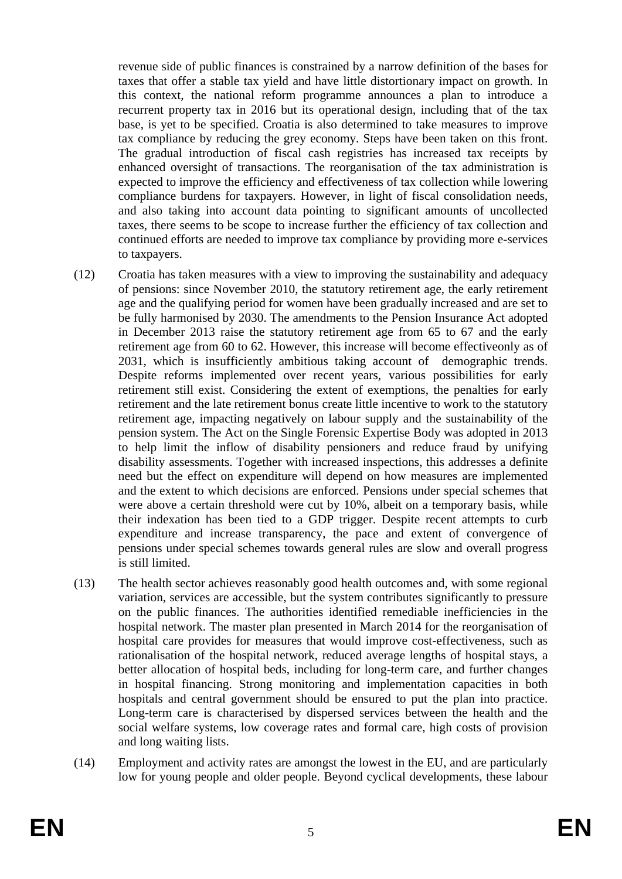revenue side of public finances is constrained by a narrow definition of the bases for taxes that offer a stable tax yield and have little distortionary impact on growth. In this context, the national reform programme announces a plan to introduce a recurrent property tax in 2016 but its operational design, including that of the tax base, is yet to be specified. Croatia is also determined to take measures to improve tax compliance by reducing the grey economy. Steps have been taken on this front. The gradual introduction of fiscal cash registries has increased tax receipts by enhanced oversight of transactions. The reorganisation of the tax administration is expected to improve the efficiency and effectiveness of tax collection while lowering compliance burdens for taxpayers. However, in light of fiscal consolidation needs, and also taking into account data pointing to significant amounts of uncollected taxes, there seems to be scope to increase further the efficiency of tax collection and continued efforts are needed to improve tax compliance by providing more e-services to taxpayers.

- (12) Croatia has taken measures with a view to improving the sustainability and adequacy of pensions: since November 2010, the statutory retirement age, the early retirement age and the qualifying period for women have been gradually increased and are set to be fully harmonised by 2030. The amendments to the Pension Insurance Act adopted in December 2013 raise the statutory retirement age from 65 to 67 and the early retirement age from 60 to 62. However, this increase will become effectiveonly as of 2031, which is insufficiently ambitious taking account of demographic trends. Despite reforms implemented over recent years, various possibilities for early retirement still exist. Considering the extent of exemptions, the penalties for early retirement and the late retirement bonus create little incentive to work to the statutory retirement age, impacting negatively on labour supply and the sustainability of the pension system. The Act on the Single Forensic Expertise Body was adopted in 2013 to help limit the inflow of disability pensioners and reduce fraud by unifying disability assessments. Together with increased inspections, this addresses a definite need but the effect on expenditure will depend on how measures are implemented and the extent to which decisions are enforced. Pensions under special schemes that were above a certain threshold were cut by 10%, albeit on a temporary basis, while their indexation has been tied to a GDP trigger. Despite recent attempts to curb expenditure and increase transparency, the pace and extent of convergence of pensions under special schemes towards general rules are slow and overall progress is still limited.
- (13) The health sector achieves reasonably good health outcomes and, with some regional variation, services are accessible, but the system contributes significantly to pressure on the public finances. The authorities identified remediable inefficiencies in the hospital network. The master plan presented in March 2014 for the reorganisation of hospital care provides for measures that would improve cost-effectiveness, such as rationalisation of the hospital network, reduced average lengths of hospital stays, a better allocation of hospital beds, including for long-term care, and further changes in hospital financing. Strong monitoring and implementation capacities in both hospitals and central government should be ensured to put the plan into practice. Long-term care is characterised by dispersed services between the health and the social welfare systems, low coverage rates and formal care, high costs of provision and long waiting lists.
- (14) Employment and activity rates are amongst the lowest in the EU, and are particularly low for young people and older people. Beyond cyclical developments, these labour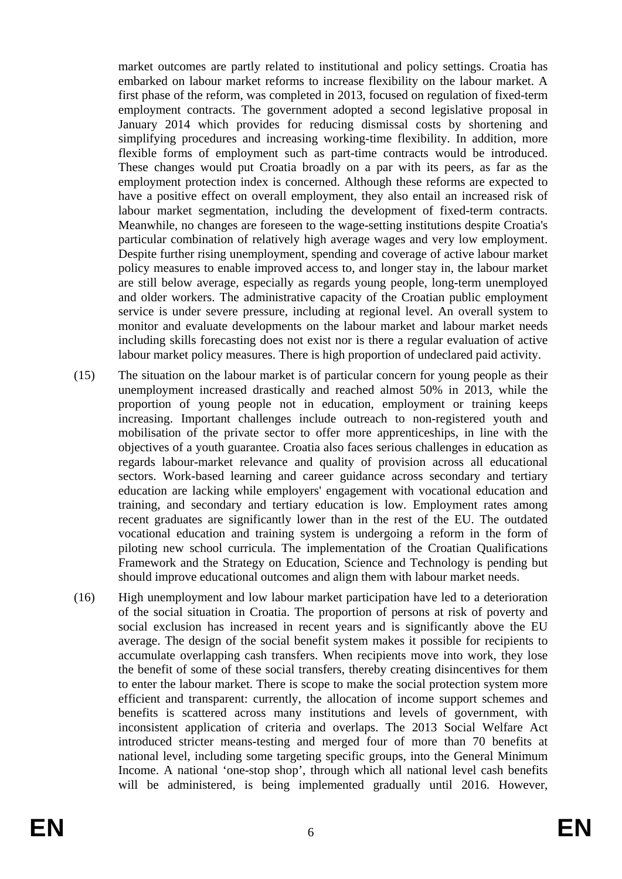market outcomes are partly related to institutional and policy settings. Croatia has embarked on labour market reforms to increase flexibility on the labour market. A first phase of the reform, was completed in 2013, focused on regulation of fixed-term employment contracts. The government adopted a second legislative proposal in January 2014 which provides for reducing dismissal costs by shortening and simplifying procedures and increasing working-time flexibility. In addition, more flexible forms of employment such as part-time contracts would be introduced. These changes would put Croatia broadly on a par with its peers, as far as the employment protection index is concerned. Although these reforms are expected to have a positive effect on overall employment, they also entail an increased risk of labour market segmentation, including the development of fixed-term contracts. Meanwhile, no changes are foreseen to the wage-setting institutions despite Croatia's particular combination of relatively high average wages and very low employment. Despite further rising unemployment, spending and coverage of active labour market policy measures to enable improved access to, and longer stay in, the labour market are still below average, especially as regards young people, long-term unemployed and older workers. The administrative capacity of the Croatian public employment service is under severe pressure, including at regional level. An overall system to monitor and evaluate developments on the labour market and labour market needs including skills forecasting does not exist nor is there a regular evaluation of active labour market policy measures. There is high proportion of undeclared paid activity.

- (15) The situation on the labour market is of particular concern for young people as their unemployment increased drastically and reached almost 50% in 2013, while the proportion of young people not in education, employment or training keeps increasing. Important challenges include outreach to non-registered youth and mobilisation of the private sector to offer more apprenticeships, in line with the objectives of a youth guarantee. Croatia also faces serious challenges in education as regards labour-market relevance and quality of provision across all educational sectors. Work-based learning and career guidance across secondary and tertiary education are lacking while employers' engagement with vocational education and training, and secondary and tertiary education is low. Employment rates among recent graduates are significantly lower than in the rest of the EU. The outdated vocational education and training system is undergoing a reform in the form of piloting new school curricula. The implementation of the Croatian Qualifications Framework and the Strategy on Education, Science and Technology is pending but should improve educational outcomes and align them with labour market needs.
- (16) High unemployment and low labour market participation have led to a deterioration of the social situation in Croatia. The proportion of persons at risk of poverty and social exclusion has increased in recent years and is significantly above the EU average. The design of the social benefit system makes it possible for recipients to accumulate overlapping cash transfers. When recipients move into work, they lose the benefit of some of these social transfers, thereby creating disincentives for them to enter the labour market. There is scope to make the social protection system more efficient and transparent: currently, the allocation of income support schemes and benefits is scattered across many institutions and levels of government, with inconsistent application of criteria and overlaps. The 2013 Social Welfare Act introduced stricter means-testing and merged four of more than 70 benefits at national level, including some targeting specific groups, into the General Minimum Income. A national 'one-stop shop', through which all national level cash benefits will be administered, is being implemented gradually until 2016. However,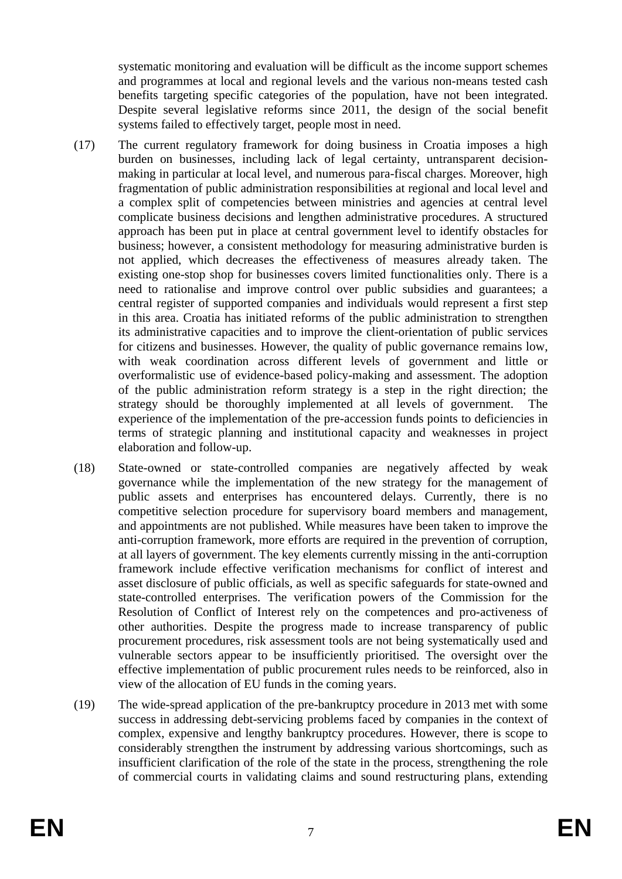systematic monitoring and evaluation will be difficult as the income support schemes and programmes at local and regional levels and the various non-means tested cash benefits targeting specific categories of the population, have not been integrated. Despite several legislative reforms since 2011, the design of the social benefit systems failed to effectively target, people most in need.

- (17) The current regulatory framework for doing business in Croatia imposes a high burden on businesses, including lack of legal certainty, untransparent decisionmaking in particular at local level, and numerous para-fiscal charges. Moreover, high fragmentation of public administration responsibilities at regional and local level and a complex split of competencies between ministries and agencies at central level complicate business decisions and lengthen administrative procedures. A structured approach has been put in place at central government level to identify obstacles for business; however, a consistent methodology for measuring administrative burden is not applied, which decreases the effectiveness of measures already taken. The existing one-stop shop for businesses covers limited functionalities only. There is a need to rationalise and improve control over public subsidies and guarantees; a central register of supported companies and individuals would represent a first step in this area. Croatia has initiated reforms of the public administration to strengthen its administrative capacities and to improve the client-orientation of public services for citizens and businesses. However, the quality of public governance remains low, with weak coordination across different levels of government and little or overformalistic use of evidence-based policy-making and assessment. The adoption of the public administration reform strategy is a step in the right direction; the strategy should be thoroughly implemented at all levels of government. The experience of the implementation of the pre-accession funds points to deficiencies in terms of strategic planning and institutional capacity and weaknesses in project elaboration and follow-up.
- (18) State-owned or state-controlled companies are negatively affected by weak governance while the implementation of the new strategy for the management of public assets and enterprises has encountered delays. Currently, there is no competitive selection procedure for supervisory board members and management, and appointments are not published. While measures have been taken to improve the anti-corruption framework, more efforts are required in the prevention of corruption, at all layers of government. The key elements currently missing in the anti-corruption framework include effective verification mechanisms for conflict of interest and asset disclosure of public officials, as well as specific safeguards for state-owned and state-controlled enterprises. The verification powers of the Commission for the Resolution of Conflict of Interest rely on the competences and pro-activeness of other authorities. Despite the progress made to increase transparency of public procurement procedures, risk assessment tools are not being systematically used and vulnerable sectors appear to be insufficiently prioritised. The oversight over the effective implementation of public procurement rules needs to be reinforced, also in view of the allocation of EU funds in the coming years.
- (19) The wide-spread application of the pre-bankruptcy procedure in 2013 met with some success in addressing debt-servicing problems faced by companies in the context of complex, expensive and lengthy bankruptcy procedures. However, there is scope to considerably strengthen the instrument by addressing various shortcomings, such as insufficient clarification of the role of the state in the process, strengthening the role of commercial courts in validating claims and sound restructuring plans, extending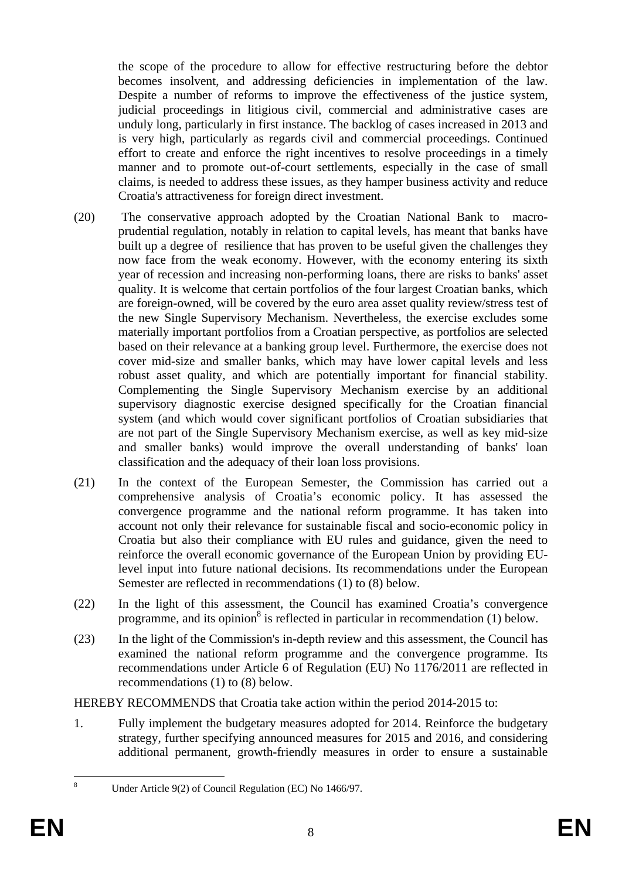the scope of the procedure to allow for effective restructuring before the debtor becomes insolvent, and addressing deficiencies in implementation of the law. Despite a number of reforms to improve the effectiveness of the justice system, judicial proceedings in litigious civil, commercial and administrative cases are unduly long, particularly in first instance. The backlog of cases increased in 2013 and is very high, particularly as regards civil and commercial proceedings. Continued effort to create and enforce the right incentives to resolve proceedings in a timely manner and to promote out-of-court settlements, especially in the case of small claims, is needed to address these issues, as they hamper business activity and reduce Croatia's attractiveness for foreign direct investment.

- (20) The conservative approach adopted by the Croatian National Bank to macroprudential regulation, notably in relation to capital levels, has meant that banks have built up a degree of resilience that has proven to be useful given the challenges they now face from the weak economy. However, with the economy entering its sixth year of recession and increasing non-performing loans, there are risks to banks' asset quality. It is welcome that certain portfolios of the four largest Croatian banks, which are foreign-owned, will be covered by the euro area asset quality review/stress test of the new Single Supervisory Mechanism. Nevertheless, the exercise excludes some materially important portfolios from a Croatian perspective, as portfolios are selected based on their relevance at a banking group level. Furthermore, the exercise does not cover mid-size and smaller banks, which may have lower capital levels and less robust asset quality, and which are potentially important for financial stability. Complementing the Single Supervisory Mechanism exercise by an additional supervisory diagnostic exercise designed specifically for the Croatian financial system (and which would cover significant portfolios of Croatian subsidiaries that are not part of the Single Supervisory Mechanism exercise, as well as key mid-size and smaller banks) would improve the overall understanding of banks' loan classification and the adequacy of their loan loss provisions.
- (21) In the context of the European Semester, the Commission has carried out a comprehensive analysis of Croatia's economic policy. It has assessed the convergence programme and the national reform programme. It has taken into account not only their relevance for sustainable fiscal and socio-economic policy in Croatia but also their compliance with EU rules and guidance, given the need to reinforce the overall economic governance of the European Union by providing EUlevel input into future national decisions. Its recommendations under the European Semester are reflected in recommendations (1) to (8) below.
- (22) In the light of this assessment, the Council has examined Croatia's convergence programme, and its opinion<sup>8</sup> is reflected in particular in recommendation  $(1)$  below.
- (23) In the light of the Commission's in-depth review and this assessment, the Council has examined the national reform programme and the convergence programme. Its recommendations under Article 6 of Regulation (EU) No 1176/2011 are reflected in recommendations (1) to (8) below.

HEREBY RECOMMENDS that Croatia take action within the period 2014-2015 to:

1. Fully implement the budgetary measures adopted for 2014. Reinforce the budgetary strategy, further specifying announced measures for 2015 and 2016, and considering additional permanent, growth-friendly measures in order to ensure a sustainable

 $\frac{1}{8}$ 

Under Article 9(2) of Council Regulation (EC) No 1466/97.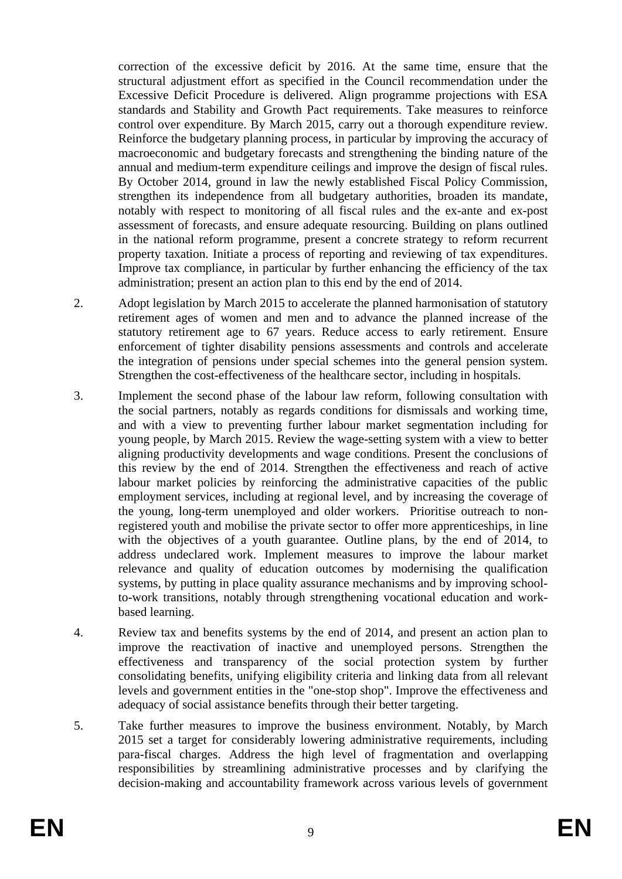correction of the excessive deficit by 2016. At the same time, ensure that the structural adjustment effort as specified in the Council recommendation under the Excessive Deficit Procedure is delivered. Align programme projections with ESA standards and Stability and Growth Pact requirements. Take measures to reinforce control over expenditure. By March 2015, carry out a thorough expenditure review. Reinforce the budgetary planning process, in particular by improving the accuracy of macroeconomic and budgetary forecasts and strengthening the binding nature of the annual and medium-term expenditure ceilings and improve the design of fiscal rules. By October 2014, ground in law the newly established Fiscal Policy Commission, strengthen its independence from all budgetary authorities, broaden its mandate, notably with respect to monitoring of all fiscal rules and the ex-ante and ex-post assessment of forecasts, and ensure adequate resourcing. Building on plans outlined in the national reform programme, present a concrete strategy to reform recurrent property taxation. Initiate a process of reporting and reviewing of tax expenditures. Improve tax compliance, in particular by further enhancing the efficiency of the tax administration; present an action plan to this end by the end of 2014.

- 2. Adopt legislation by March 2015 to accelerate the planned harmonisation of statutory retirement ages of women and men and to advance the planned increase of the statutory retirement age to 67 years. Reduce access to early retirement. Ensure enforcement of tighter disability pensions assessments and controls and accelerate the integration of pensions under special schemes into the general pension system. Strengthen the cost-effectiveness of the healthcare sector, including in hospitals.
- 3. Implement the second phase of the labour law reform, following consultation with the social partners, notably as regards conditions for dismissals and working time, and with a view to preventing further labour market segmentation including for young people, by March 2015. Review the wage-setting system with a view to better aligning productivity developments and wage conditions. Present the conclusions of this review by the end of 2014. Strengthen the effectiveness and reach of active labour market policies by reinforcing the administrative capacities of the public employment services, including at regional level, and by increasing the coverage of the young, long-term unemployed and older workers. Prioritise outreach to nonregistered youth and mobilise the private sector to offer more apprenticeships, in line with the objectives of a youth guarantee. Outline plans, by the end of 2014, to address undeclared work. Implement measures to improve the labour market relevance and quality of education outcomes by modernising the qualification systems, by putting in place quality assurance mechanisms and by improving schoolto-work transitions, notably through strengthening vocational education and workbased learning.
- 4. Review tax and benefits systems by the end of 2014, and present an action plan to improve the reactivation of inactive and unemployed persons. Strengthen the effectiveness and transparency of the social protection system by further consolidating benefits, unifying eligibility criteria and linking data from all relevant levels and government entities in the "one-stop shop". Improve the effectiveness and adequacy of social assistance benefits through their better targeting.
- 5. Take further measures to improve the business environment. Notably, by March 2015 set a target for considerably lowering administrative requirements, including para-fiscal charges. Address the high level of fragmentation and overlapping responsibilities by streamlining administrative processes and by clarifying the decision-making and accountability framework across various levels of government